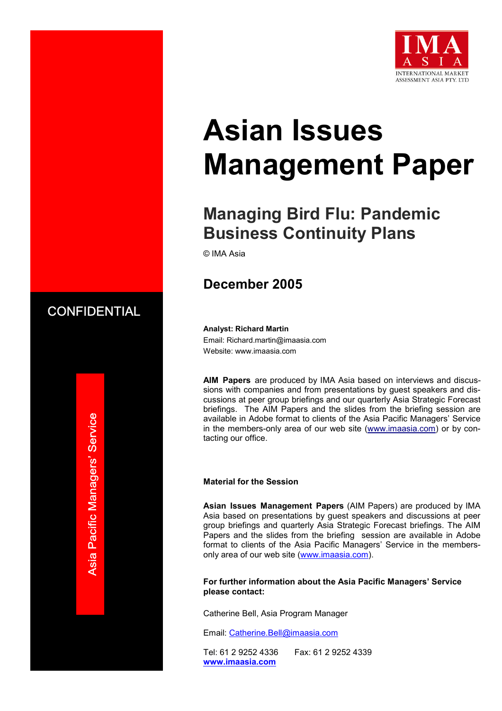

# **Asian Issues Management Paper**

# **Managing Bird Flu: Pandemic Business Continuity Plans**

© IMA Asia

# **December 2005**

# **CONFIDENTIAL**

**Analyst: Richard Martin**  Email: Richard.martin@imaasia.com Website: www.imaasia.com

**AIM Papers** are produced by IMA Asia based on interviews and discussions with companies and from presentations by guest speakers and discussions at peer group briefings and our quarterly Asia Strategic Forecast briefings. The AIM Papers and the slides from the briefing session are available in Adobe format to clients of the Asia Pacific Managers' Service in the members-only area of our web site (www.imaasia.com) or by contacting our office.

#### **Material for the Session**

**Asian Issues Management Papers** (AIM Papers) are produced by IMA Asia based on presentations by guest speakers and discussions at peer group briefings and quarterly Asia Strategic Forecast briefings. The AIM Papers and the slides from the briefing session are available in Adobe format to clients of the Asia Pacific Managers' Service in the membersonly area of our web site (www.imaasia.com).

**For further information about the Asia Pacific Managers' Service please contact:**

Catherine Bell, Asia Program Manager

Email: Catherine.Bell@imaasia.com

Tel: 61 2 9252 4336 Fax: 61 2 9252 4339 **www.imaasia.com**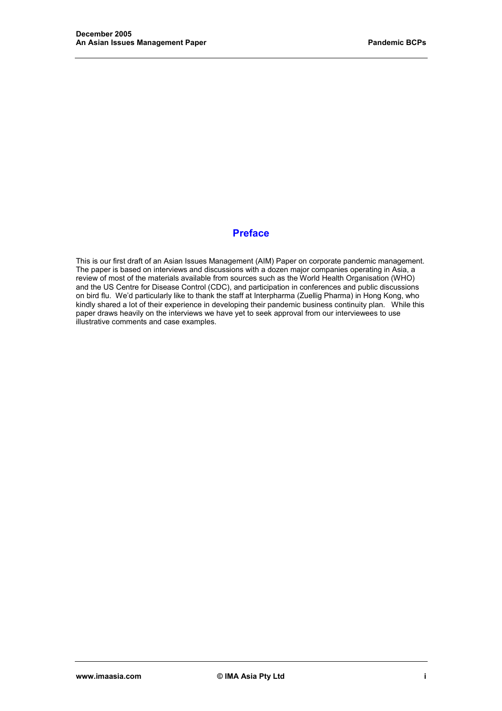## **Preface**

This is our first draft of an Asian Issues Management (AIM) Paper on corporate pandemic management. The paper is based on interviews and discussions with a dozen major companies operating in Asia, a review of most of the materials available from sources such as the World Health Organisation (WHO) and the US Centre for Disease Control (CDC), and participation in conferences and public discussions on bird flu. We'd particularly like to thank the staff at Interpharma (Zuellig Pharma) in Hong Kong, who kindly shared a lot of their experience in developing their pandemic business continuity plan. While this paper draws heavily on the interviews we have yet to seek approval from our interviewees to use illustrative comments and case examples.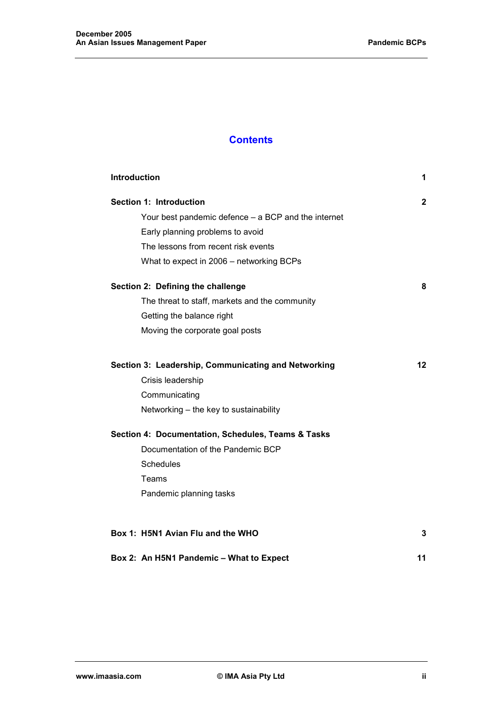# **Contents**

| <b>Introduction</b>                                 | 1            |
|-----------------------------------------------------|--------------|
| Section 1: Introduction                             | $\mathbf{2}$ |
| Your best pandemic defence - a BCP and the internet |              |
| Early planning problems to avoid                    |              |
| The lessons from recent risk events                 |              |
| What to expect in 2006 – networking BCPs            |              |
| Section 2: Defining the challenge                   | 8            |
| The threat to staff, markets and the community      |              |
| Getting the balance right                           |              |
| Moving the corporate goal posts                     |              |
| Section 3: Leadership, Communicating and Networking | 12           |
| Crisis leadership                                   |              |
| Communicating                                       |              |
| Networking - the key to sustainability              |              |
| Section 4: Documentation, Schedules, Teams & Tasks  |              |
| Documentation of the Pandemic BCP                   |              |
| Schedules                                           |              |
| <b>Teams</b>                                        |              |
| Pandemic planning tasks                             |              |
| Box 1: H5N1 Avian Flu and the WHO                   | 3            |
| Box 2: An H5N1 Pandemic - What to Expect            | 11           |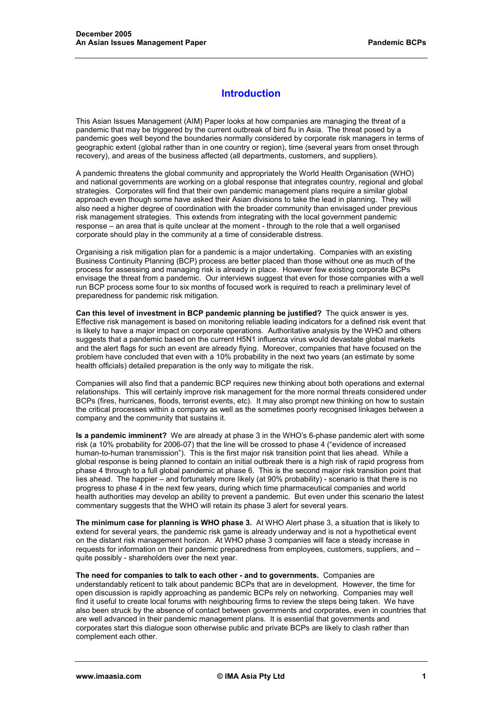# **Introduction**

This Asian Issues Management (AIM) Paper looks at how companies are managing the threat of a pandemic that may be triggered by the current outbreak of bird flu in Asia. The threat posed by a pandemic goes well beyond the boundaries normally considered by corporate risk managers in terms of geographic extent (global rather than in one country or region), time (several years from onset through recovery), and areas of the business affected (all departments, customers, and suppliers).

A pandemic threatens the global community and appropriately the World Health Organisation (WHO) and national governments are working on a global response that integrates country, regional and global strategies. Corporates will find that their own pandemic management plans require a similar global approach even though some have asked their Asian divisions to take the lead in planning. They will also need a higher degree of coordination with the broader community than envisaged under previous risk management strategies. This extends from integrating with the local government pandemic response – an area that is quite unclear at the moment - through to the role that a well organised corporate should play in the community at a time of considerable distress.

Organising a risk mitigation plan for a pandemic is a major undertaking. Companies with an existing Business Continuity Planning (BCP) process are better placed than those without one as much of the process for assessing and managing risk is already in place. However few existing corporate BCPs envisage the threat from a pandemic. Our interviews suggest that even for those companies with a well run BCP process some four to six months of focused work is required to reach a preliminary level of preparedness for pandemic risk mitigation.

**Can this level of investment in BCP pandemic planning be justified?** The quick answer is yes. Effective risk management is based on monitoring reliable leading indicators for a defined risk event that is likely to have a major impact on corporate operations. Authoritative analysis by the WHO and others suggests that a pandemic based on the current H5N1 influenza virus would devastate global markets and the alert flags for such an event are already flying. Moreover, companies that have focused on the problem have concluded that even with a 10% probability in the next two years (an estimate by some health officials) detailed preparation is the only way to mitigate the risk.

Companies will also find that a pandemic BCP requires new thinking about both operations and external relationships. This will certainly improve risk management for the more normal threats considered under BCPs (fires, hurricanes, floods, terrorist events, etc). It may also prompt new thinking on how to sustain the critical processes within a company as well as the sometimes poorly recognised linkages between a company and the community that sustains it.

**Is a pandemic imminent?** We are already at phase 3 in the WHO's 6-phase pandemic alert with some risk (a 10% probability for 2006-07) that the line will be crossed to phase 4 ("evidence of increased human-to-human transmission"). This is the first major risk transition point that lies ahead. While a global response is being planned to contain an initial outbreak there is a high risk of rapid progress from phase 4 through to a full global pandemic at phase 6. This is the second major risk transition point that lies ahead. The happier – and fortunately more likely (at 90% probability) - scenario is that there is no progress to phase 4 in the next few years, during which time pharmaceutical companies and world health authorities may develop an ability to prevent a pandemic. But even under this scenario the latest commentary suggests that the WHO will retain its phase 3 alert for several years.

**The minimum case for planning is WHO phase 3.** At WHO Alert phase 3, a situation that is likely to extend for several years, the pandemic risk game is already underway and is not a hypothetical event on the distant risk management horizon. At WHO phase 3 companies will face a steady increase in requests for information on their pandemic preparedness from employees, customers, suppliers, and – quite possibly - shareholders over the next year.

**The need for companies to talk to each other - and to governments.** Companies are understandably reticent to talk about pandemic BCPs that are in development. However, the time for open discussion is rapidly approaching as pandemic BCPs rely on networking. Companies may well find it useful to create local forums with neighbouring firms to review the steps being taken. We have also been struck by the absence of contact between governments and corporates, even in countries that are well advanced in their pandemic management plans. It is essential that governments and corporates start this dialogue soon otherwise public and private BCPs are likely to clash rather than complement each other.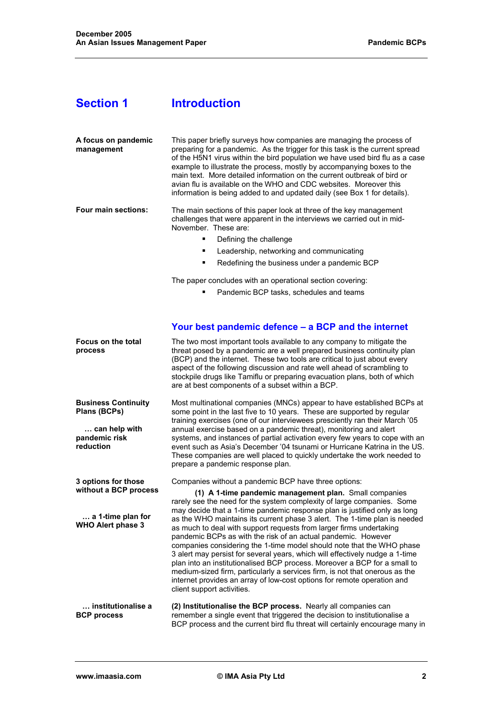# **Section 1** Introduction

| A focus on pandemic<br>management                                                                      | This paper briefly surveys how companies are managing the process of<br>preparing for a pandemic. As the trigger for this task is the current spread<br>of the H5N1 virus within the bird population we have used bird flu as a case<br>example to illustrate the process, mostly by accompanying boxes to the<br>main text. More detailed information on the current outbreak of bird or<br>avian flu is available on the WHO and CDC websites. Moreover this<br>information is being added to and updated daily (see Box 1 for details).                                                                                                                                                                                                                                                                                                                                                                               |  |
|--------------------------------------------------------------------------------------------------------|--------------------------------------------------------------------------------------------------------------------------------------------------------------------------------------------------------------------------------------------------------------------------------------------------------------------------------------------------------------------------------------------------------------------------------------------------------------------------------------------------------------------------------------------------------------------------------------------------------------------------------------------------------------------------------------------------------------------------------------------------------------------------------------------------------------------------------------------------------------------------------------------------------------------------|--|
| Four main sections:                                                                                    | The main sections of this paper look at three of the key management<br>challenges that were apparent in the interviews we carried out in mid-<br>November. These are:<br>٠<br>Defining the challenge<br>Leadership, networking and communicating<br>٠<br>Redefining the business under a pandemic BCP<br>٠                                                                                                                                                                                                                                                                                                                                                                                                                                                                                                                                                                                                               |  |
|                                                                                                        | The paper concludes with an operational section covering:<br>Pandemic BCP tasks, schedules and teams                                                                                                                                                                                                                                                                                                                                                                                                                                                                                                                                                                                                                                                                                                                                                                                                                     |  |
|                                                                                                        | Your best pandemic defence - a BCP and the internet                                                                                                                                                                                                                                                                                                                                                                                                                                                                                                                                                                                                                                                                                                                                                                                                                                                                      |  |
| Focus on the total<br>process                                                                          | The two most important tools available to any company to mitigate the<br>threat posed by a pandemic are a well prepared business continuity plan<br>(BCP) and the internet. These two tools are critical to just about every<br>aspect of the following discussion and rate well ahead of scrambling to<br>stockpile drugs like Tamiflu or preparing evacuation plans, both of which<br>are at best components of a subset within a BCP.                                                                                                                                                                                                                                                                                                                                                                                                                                                                                 |  |
| <b>Business Continuity</b><br>Plans (BCPs)<br>can help with<br>pandemic risk<br>reduction              | Most multinational companies (MNCs) appear to have established BCPs at<br>some point in the last five to 10 years. These are supported by regular<br>training exercises (one of our interviewees presciently ran their March '05<br>annual exercise based on a pandemic threat), monitoring and alert<br>systems, and instances of partial activation every few years to cope with an<br>event such as Asia's December '04 tsunami or Hurricane Katrina in the US.<br>These companies are well placed to quickly undertake the work needed to<br>prepare a pandemic response plan.                                                                                                                                                                                                                                                                                                                                       |  |
| 3 options for those<br>without a BCP process<br>$\ldots$ a 1-time plan for<br><b>WHO Alert phase 3</b> | Companies without a pandemic BCP have three options:<br>(1) A 1-time pandemic management plan. Small companies<br>rarely see the need for the system complexity of large companies. Some<br>may decide that a 1-time pandemic response plan is justified only as long<br>as the WHO maintains its current phase 3 alert. The 1-time plan is needed<br>as much to deal with support requests from larger firms undertaking<br>pandemic BCPs as with the risk of an actual pandemic. However<br>companies considering the 1-time model should note that the WHO phase<br>3 alert may persist for several years, which will effectively nudge a 1-time<br>plan into an institutionalised BCP process. Moreover a BCP for a small to<br>medium-sized firm, particularly a services firm, is not that onerous as the<br>internet provides an array of low-cost options for remote operation and<br>client support activities. |  |
| institutionalise a<br><b>BCP</b> process                                                               | (2) Institutionalise the BCP process. Nearly all companies can<br>remember a single event that triggered the decision to institutionalise a<br>BCP process and the current bird flu threat will certainly encourage many in                                                                                                                                                                                                                                                                                                                                                                                                                                                                                                                                                                                                                                                                                              |  |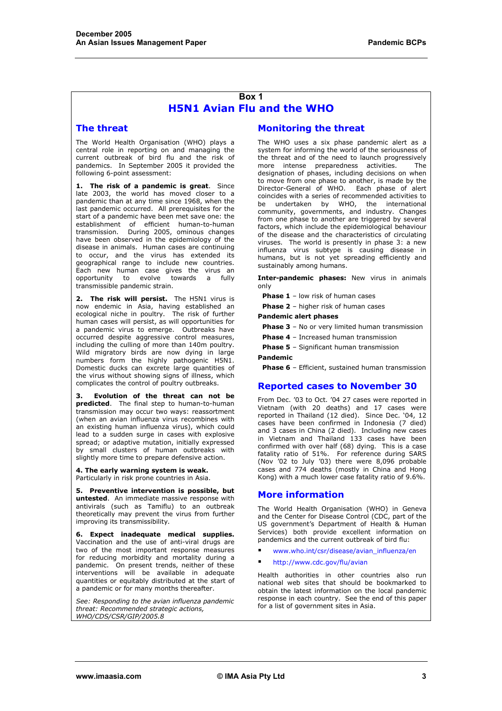#### **Box 1 H5N1 Avian Flu and the WHO**

#### **The threat**

The World Health Organisation (WHO) plays a central role in reporting on and managing the current outbreak of bird flu and the risk of pandemics. In September 2005 it provided the following 6-point assessment:

**1. The risk of a pandemic is great**. Since late 2003, the world has moved closer to a pandemic than at any time since 1968, when the last pandemic occurred. All prerequisites for the start of a pandemic have been met save one: the establishment of efficient human-to-human transmission. During 2005, ominous changes have been observed in the epidemiology of the disease in animals. Human cases are continuing to occur, and the virus has extended its geographical range to include new countries. Each new human case gives the virus an opportunity to evolve towards a fully transmissible pandemic strain.

**2. The risk will persist.** The H5N1 virus is now endemic in Asia, having established an ecological niche in poultry. The risk of further human cases will persist, as will opportunities for a pandemic virus to emerge. Outbreaks have occurred despite aggressive control measures, including the culling of more than 140m poultry. Wild migratory birds are now dying in large numbers form the highly pathogenic H5N1. Domestic ducks can excrete large quantities of the virus without showing signs of illness, which complicates the control of poultry outbreaks.

**3. Evolution of the threat can not be predicted**. The final step to human-to-human transmission may occur two ways: reassortment (when an avian influenza virus recombines with an existing human influenza virus), which could lead to a sudden surge in cases with explosive spread; or adaptive mutation, initially expressed by small clusters of human outbreaks with slightly more time to prepare defensive action.

**4. The early warning system is weak.**  Particularly in risk prone countries in Asia.

**5. Preventive intervention is possible, but untested**. An immediate massive response with antivirals (such as Tamiflu) to an outbreak theoretically may prevent the virus from further improving its transmissibility.

**6. Expect inadequate medical supplies.** Vaccination and the use of anti-viral drugs are two of the most important response measures for reducing morbidity and mortality during a pandemic. On present trends, neither of these interventions will be available in adequate quantities or equitably distributed at the start of a pandemic or for many months thereafter.

*See: Responding to the avian influenza pandemic threat: Recommended strategic actions, WHO/CDS/CSR/GIP/2005.8*

#### **Monitoring the threat**

The WHO uses a six phase pandemic alert as a system for informing the world of the seriousness of the threat and of the need to launch progressively more intense preparedness activities. The designation of phases, including decisions on when to move from one phase to another, is made by the Director-General of WHO. Each phase of alert coincides with a series of recommended activities to be undertaken by WHO, the international community, governments, and industry. Changes from one phase to another are triggered by several factors, which include the epidemiological behaviour of the disease and the characteristics of circulating viruses. The world is presently in phase 3: a new influenza virus subtype is causing disease in humans, but is not yet spreading efficiently and sustainably among humans.

**Inter-pandemic phases:** New virus in animals only

**Phase 1** – low risk of human cases

**Phase 2** – higher risk of human cases

**Pandemic alert phases** 

**Phase 3** – No or very limited human transmission

**Phase 4** – Increased human transmission

**Phase 5** – Significant human transmission

#### **Pandemic**

**Phase 6** – Efficient, sustained human transmission

#### **Reported cases to November 30**

From Dec. '03 to Oct. '04 27 cases were reported in Vietnam (with 20 deaths) and 17 cases were reported in Thailand (12 died). Since Dec. '04, 12 cases have been confirmed in Indonesia (7 died) and 3 cases in China (2 died). Including new cases in Vietnam and Thailand 133 cases have been confirmed with over half (68) dying. This is a case fatality ratio of 51%. For reference during SARS (Nov '02 to July '03) there were 8,096 probable cases and 774 deaths (mostly in China and Hong Kong) with a much lower case fatality ratio of 9.6%.

#### **More information**

The World Health Organisation (WHO) in Geneva and the Center for Disease Control (CDC, part of the US government's Department of Health & Human Services) both provide excellent information on pandemics and the current outbreak of bird flu:

www.who.int/csr/disease/avian\_influenza/en

http://www.cdc.gov/flu/avian

Health authorities in other countries also run national web sites that should be bookmarked to obtain the latest information on the local pandemic response in each country. See the end of this paper for a list of government sites in Asia.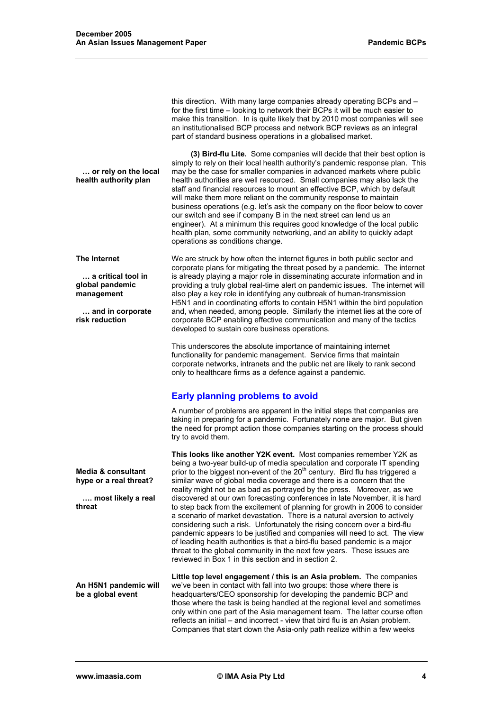this direction. With many large companies already operating BCPs and – for the first time – looking to network their BCPs it will be much easier to make this transition. In is quite likely that by 2010 most companies will see an institutionalised BCP process and network BCP reviews as an integral part of standard business operations in a globalised market.

 **… or rely on the local health authority plan (3) Bird-flu Lite.** Some companies will decide that their best option is simply to rely on their local health authority's pandemic response plan. This may be the case for smaller companies in advanced markets where public health authorities are well resourced. Small companies may also lack the staff and financial resources to mount an effective BCP, which by default will make them more reliant on the community response to maintain business operations (e.g. let's ask the company on the floor below to cover our switch and see if company B in the next street can lend us an engineer). At a minimum this requires good knowledge of the local public health plan, some community networking, and an ability to quickly adapt operations as conditions change.

**The Internet** 

 **… a critical tool in global pandemic management** 

 **… and in corporate risk reduction** 

**Media & consultant hype or a real threat?** 

**threat** 

 **…. most likely a real** 

We are struck by how often the internet figures in both public sector and corporate plans for mitigating the threat posed by a pandemic. The internet is already playing a major role in disseminating accurate information and in providing a truly global real-time alert on pandemic issues. The internet will also play a key role in identifying any outbreak of human-transmission H5N1 and in coordinating efforts to contain H5N1 within the bird population and, when needed, among people. Similarly the internet lies at the core of corporate BCP enabling effective communication and many of the tactics developed to sustain core business operations.

This underscores the absolute importance of maintaining internet functionality for pandemic management. Service firms that maintain corporate networks, intranets and the public net are likely to rank second only to healthcare firms as a defence against a pandemic.

# **Early planning problems to avoid**

A number of problems are apparent in the initial steps that companies are taking in preparing for a pandemic. Fortunately none are major. But given the need for prompt action those companies starting on the process should try to avoid them.

**This looks like another Y2K event.** Most companies remember Y2K as being a two-year build-up of media speculation and corporate IT spending prior to the biggest non-event of the  $20<sup>th</sup>$  century. Bird flu has triggered a similar wave of global media coverage and there is a concern that the reality might not be as bad as portrayed by the press. Moreover, as we discovered at our own forecasting conferences in late November, it is hard to step back from the excitement of planning for growth in 2006 to consider a scenario of market devastation. There is a natural aversion to actively considering such a risk. Unfortunately the rising concern over a bird-flu pandemic appears to be justified and companies will need to act. The view of leading health authorities is that a bird-flu based pandemic is a major threat to the global community in the next few years. These issues are reviewed in Box 1 in this section and in section 2.

**An H5N1 pandemic will be a global event Little top level engagement / this is an Asia problem.** The companies we've been in contact with fall into two groups: those where there is headquarters/CEO sponsorship for developing the pandemic BCP and those where the task is being handled at the regional level and sometimes only within one part of the Asia management team. The latter course often reflects an initial – and incorrect - view that bird flu is an Asian problem. Companies that start down the Asia-only path realize within a few weeks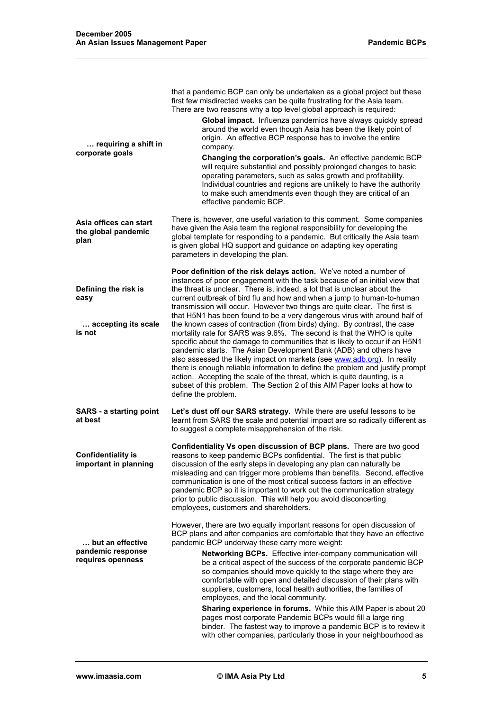| requiring a shift in<br>corporate goals                       | that a pandemic BCP can only be undertaken as a global project but these<br>first few misdirected weeks can be quite frustrating for the Asia team.<br>There are two reasons why a top level global approach is required:<br>Global impact. Influenza pandemics have always quickly spread<br>around the world even though Asia has been the likely point of<br>origin. An effective BCP response has to involve the entire<br>company.<br>Changing the corporation's goals. An effective pandemic BCP<br>will require substantial and possibly prolonged changes to basic<br>operating parameters, such as sales growth and profitability.<br>Individual countries and regions are unlikely to have the authority<br>to make such amendments even though they are critical of an<br>effective pandemic BCP.                                                                                                                                                                                                                                                                                                         |  |
|---------------------------------------------------------------|----------------------------------------------------------------------------------------------------------------------------------------------------------------------------------------------------------------------------------------------------------------------------------------------------------------------------------------------------------------------------------------------------------------------------------------------------------------------------------------------------------------------------------------------------------------------------------------------------------------------------------------------------------------------------------------------------------------------------------------------------------------------------------------------------------------------------------------------------------------------------------------------------------------------------------------------------------------------------------------------------------------------------------------------------------------------------------------------------------------------|--|
| Asia offices can start<br>the global pandemic<br>plan         | There is, however, one useful variation to this comment. Some companies<br>have given the Asia team the regional responsibility for developing the<br>global template for responding to a pandemic. But critically the Asia team<br>is given global HQ support and guidance on adapting key operating<br>parameters in developing the plan.                                                                                                                                                                                                                                                                                                                                                                                                                                                                                                                                                                                                                                                                                                                                                                          |  |
| Defining the risk is<br>easy<br>accepting its scale<br>is not | Poor definition of the risk delays action. We've noted a number of<br>instances of poor engagement with the task because of an initial view that<br>the threat is unclear. There is, indeed, a lot that is unclear about the<br>current outbreak of bird flu and how and when a jump to human-to-human<br>transmission will occur. However two things are quite clear. The first is<br>that H5N1 has been found to be a very dangerous virus with around half of<br>the known cases of contraction (from birds) dying. By contrast, the case<br>mortality rate for SARS was 9.6%. The second is that the WHO is quite<br>specific about the damage to communities that is likely to occur if an H5N1<br>pandemic starts. The Asian Development Bank (ADB) and others have<br>also assessed the likely impact on markets (see www.adb.org). In reality<br>there is enough reliable information to define the problem and justify prompt<br>action. Accepting the scale of the threat, which is quite daunting, is a<br>subset of this problem. The Section 2 of this AIM Paper looks at how to<br>define the problem. |  |
| <b>SARS</b> - a starting point<br>at best                     | Let's dust off our SARS strategy. While there are useful lessons to be<br>learnt from SARS the scale and potential impact are so radically different as<br>to suggest a complete misapprehension of the risk.                                                                                                                                                                                                                                                                                                                                                                                                                                                                                                                                                                                                                                                                                                                                                                                                                                                                                                        |  |
| <b>Confidentiality is</b><br>important in planning            | Confidentiality Vs open discussion of BCP plans. There are two good<br>reasons to keep pandemic BCPs confidential. The first is that public<br>discussion of the early steps in developing any plan can naturally be<br>misleading and can trigger more problems than benefits. Second, effective<br>communication is one of the most critical success factors in an effective<br>pandemic BCP so it is important to work out the communication strategy<br>prior to public discussion. This will help you avoid disconcerting<br>employees, customers and shareholders.                                                                                                                                                                                                                                                                                                                                                                                                                                                                                                                                             |  |
| but an effective<br>pandemic response<br>requires openness    | However, there are two equally important reasons for open discussion of<br>BCP plans and after companies are comfortable that they have an effective<br>pandemic BCP underway these carry more weight:<br>Networking BCPs. Effective inter-company communication will<br>be a critical aspect of the success of the corporate pandemic BCP<br>so companies should move quickly to the stage where they are<br>comfortable with open and detailed discussion of their plans with<br>suppliers, customers, local health authorities, the families of<br>employees, and the local community.<br>Sharing experience in forums. While this AIM Paper is about 20<br>pages most corporate Pandemic BCPs would fill a large ring<br>binder. The fastest way to improve a pandemic BCP is to review it<br>with other companies, particularly those in your neighbourhood as                                                                                                                                                                                                                                                  |  |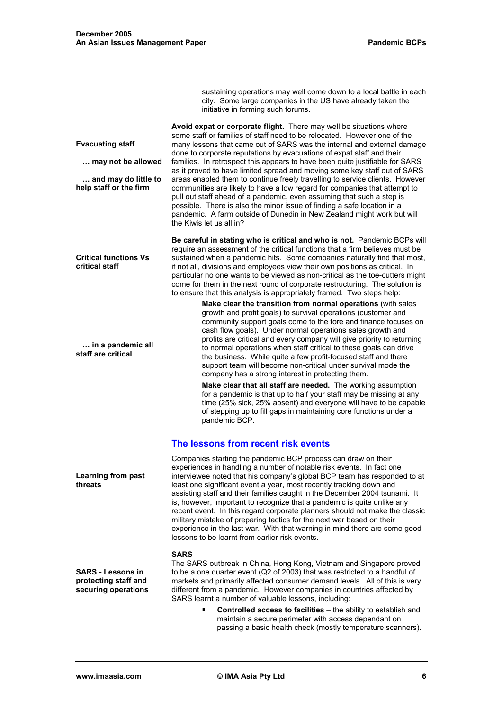|                                                                                                 | sustaining operations may well come down to a local battle in each<br>city. Some large companies in the US have already taken the<br>initiative in forming such forums.                                                                                                                                                                                                                                                                                                                                                                                                                                                                                                                                                                  |
|-------------------------------------------------------------------------------------------------|------------------------------------------------------------------------------------------------------------------------------------------------------------------------------------------------------------------------------------------------------------------------------------------------------------------------------------------------------------------------------------------------------------------------------------------------------------------------------------------------------------------------------------------------------------------------------------------------------------------------------------------------------------------------------------------------------------------------------------------|
| <b>Evacuating staff</b><br>may not be allowed<br>and may do little to<br>help staff or the firm | Avoid expat or corporate flight. There may well be situations where<br>some staff or families of staff need to be relocated. However one of the<br>many lessons that came out of SARS was the internal and external damage<br>done to corporate reputations by evacuations of expat staff and their<br>families. In retrospect this appears to have been quite justifiable for SARS<br>as it proved to have limited spread and moving some key staff out of SARS<br>areas enabled them to continue freely travelling to service clients. However<br>communities are likely to have a low regard for companies that attempt to<br>pull out staff ahead of a pandemic, even assuming that such a step is                                   |
|                                                                                                 | possible. There is also the minor issue of finding a safe location in a<br>pandemic. A farm outside of Dunedin in New Zealand might work but will<br>the Kiwis let us all in?                                                                                                                                                                                                                                                                                                                                                                                                                                                                                                                                                            |
| <b>Critical functions Vs</b><br>critical staff                                                  | Be careful in stating who is critical and who is not. Pandemic BCPs will<br>require an assessment of the critical functions that a firm believes must be<br>sustained when a pandemic hits. Some companies naturally find that most,<br>if not all, divisions and employees view their own positions as critical. In<br>particular no one wants to be viewed as non-critical as the toe-cutters might<br>come for them in the next round of corporate restructuring. The solution is<br>to ensure that this analysis is appropriately framed. Two steps help:                                                                                                                                                                            |
| in a pandemic all<br>staff are critical                                                         | Make clear the transition from normal operations (with sales<br>growth and profit goals) to survival operations (customer and<br>community support goals come to the fore and finance focuses on<br>cash flow goals). Under normal operations sales growth and<br>profits are critical and every company will give priority to returning<br>to normal operations when staff critical to these goals can drive<br>the business. While quite a few profit-focused staff and there<br>support team will become non-critical under survival mode the<br>company has a strong interest in protecting them.                                                                                                                                    |
|                                                                                                 | Make clear that all staff are needed. The working assumption<br>for a pandemic is that up to half your staff may be missing at any<br>time (25% sick, 25% absent) and everyone will have to be capable<br>of stepping up to fill gaps in maintaining core functions under a<br>pandemic BCP.                                                                                                                                                                                                                                                                                                                                                                                                                                             |
|                                                                                                 | The lessons from recent risk events                                                                                                                                                                                                                                                                                                                                                                                                                                                                                                                                                                                                                                                                                                      |
| Learning from past<br>threats                                                                   | Companies starting the pandemic BCP process can draw on their<br>experiences in handling a number of notable risk events. In fact one<br>interviewee noted that his company's global BCP team has responded to at<br>least one significant event a year, most recently tracking down and<br>assisting staff and their families caught in the December 2004 tsunami. It<br>is, however, important to recognize that a pandemic is quite unlike any<br>recent event. In this regard corporate planners should not make the classic<br>military mistake of preparing tactics for the next war based on their<br>experience in the last war. With that warning in mind there are some good<br>lessons to be learnt from earlier risk events. |
| <b>SARS - Lessons in</b><br>protecting staff and<br>securing operations                         | <b>SARS</b><br>The SARS outbreak in China, Hong Kong, Vietnam and Singapore proved<br>to be a one quarter event (Q2 of 2003) that was restricted to a handful of<br>markets and primarily affected consumer demand levels. All of this is very<br>different from a pandemic. However companies in countries affected by<br>SARS learnt a number of valuable lessons, including:                                                                                                                                                                                                                                                                                                                                                          |
|                                                                                                 | Controlled access to facilities - the ability to establish and<br>maintain a secure perimeter with access dependant on                                                                                                                                                                                                                                                                                                                                                                                                                                                                                                                                                                                                                   |

### **www.imaasia.com © IMA Asia Pty Ltd 6**

passing a basic health check (mostly temperature scanners).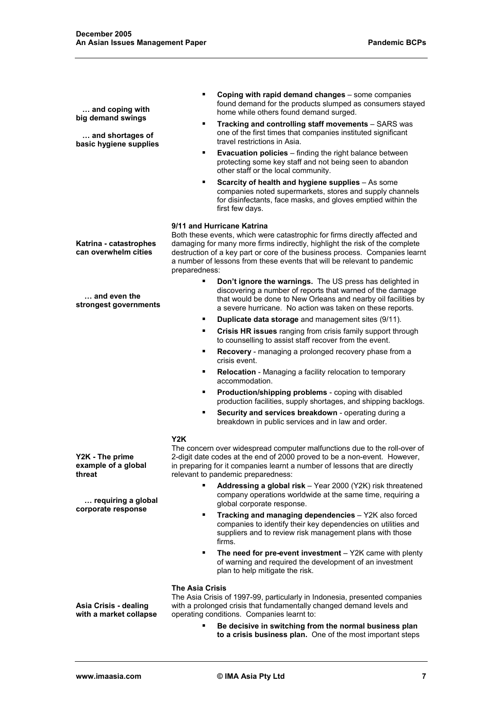| and coping with<br>big demand swings<br>and shortages of<br>basic hygiene supplies | Coping with rapid demand changes - some companies<br>٠<br>found demand for the products slumped as consumers stayed<br>home while others found demand surged.<br>Tracking and controlling staff movements - SARS was<br>٠<br>one of the first times that companies instituted significant<br>travel restrictions in Asia.<br><b>Evacuation policies</b> – finding the right balance between<br>٠<br>protecting some key staff and not being seen to abandon<br>other staff or the local community.<br>Scarcity of health and hygiene supplies - As some<br>٠<br>companies noted supermarkets, stores and supply channels<br>for disinfectants, face masks, and gloves emptied within the<br>first few days. |
|------------------------------------------------------------------------------------|-------------------------------------------------------------------------------------------------------------------------------------------------------------------------------------------------------------------------------------------------------------------------------------------------------------------------------------------------------------------------------------------------------------------------------------------------------------------------------------------------------------------------------------------------------------------------------------------------------------------------------------------------------------------------------------------------------------|
| Katrina - catastrophes<br>can overwhelm cities                                     | 9/11 and Hurricane Katrina<br>Both these events, which were catastrophic for firms directly affected and<br>damaging for many more firms indirectly, highlight the risk of the complete<br>destruction of a key part or core of the business process. Companies learnt<br>a number of lessons from these events that will be relevant to pandemic<br>preparedness:                                                                                                                                                                                                                                                                                                                                          |
| and even the<br>strongest governments                                              | Don't ignore the warnings. The US press has delighted in<br>٠<br>discovering a number of reports that warned of the damage<br>that would be done to New Orleans and nearby oil facilities by<br>a severe hurricane. No action was taken on these reports.                                                                                                                                                                                                                                                                                                                                                                                                                                                   |
|                                                                                    | Duplicate data storage and management sites (9/11).<br>٠                                                                                                                                                                                                                                                                                                                                                                                                                                                                                                                                                                                                                                                    |
|                                                                                    | Crisis HR issues ranging from crisis family support through<br>٠<br>to counselling to assist staff recover from the event.                                                                                                                                                                                                                                                                                                                                                                                                                                                                                                                                                                                  |
|                                                                                    | Recovery - managing a prolonged recovery phase from a<br>٠<br>crisis event.                                                                                                                                                                                                                                                                                                                                                                                                                                                                                                                                                                                                                                 |
|                                                                                    | Relocation - Managing a facility relocation to temporary<br>٠<br>accommodation.                                                                                                                                                                                                                                                                                                                                                                                                                                                                                                                                                                                                                             |
|                                                                                    | Production/shipping problems - coping with disabled<br>٠<br>production facilities, supply shortages, and shipping backlogs.                                                                                                                                                                                                                                                                                                                                                                                                                                                                                                                                                                                 |
|                                                                                    | Security and services breakdown - operating during a<br>٠<br>breakdown in public services and in law and order.                                                                                                                                                                                                                                                                                                                                                                                                                                                                                                                                                                                             |
| Y2K - The prime<br>example of a global<br>threat                                   | Y2K<br>The concern over widespread computer malfunctions due to the roll-over of<br>2-digit date codes at the end of 2000 proved to be a non-event. However,<br>in preparing for it companies learnt a number of lessons that are directly<br>relevant to pandemic preparedness:                                                                                                                                                                                                                                                                                                                                                                                                                            |
| requiring a global<br>corporate response                                           | Addressing a global risk - Year 2000 (Y2K) risk threatened<br>٠<br>company operations worldwide at the same time, requiring a<br>global corporate response.                                                                                                                                                                                                                                                                                                                                                                                                                                                                                                                                                 |
|                                                                                    | Tracking and managing dependencies - Y2K also forced<br>٠<br>companies to identify their key dependencies on utilities and<br>suppliers and to review risk management plans with those<br>firms.                                                                                                                                                                                                                                                                                                                                                                                                                                                                                                            |
|                                                                                    | The need for pre-event investment $-$ Y2K came with plenty<br>٠<br>of warning and required the development of an investment<br>plan to help mitigate the risk.                                                                                                                                                                                                                                                                                                                                                                                                                                                                                                                                              |
| Asia Crisis - dealing<br>with a market collapse                                    | <b>The Asia Crisis</b><br>The Asia Crisis of 1997-99, particularly in Indonesia, presented companies<br>with a prolonged crisis that fundamentally changed demand levels and<br>operating conditions. Companies learnt to:                                                                                                                                                                                                                                                                                                                                                                                                                                                                                  |
|                                                                                    | Be decisive in switching from the normal business plan<br>to a crisis business plan. One of the most important steps                                                                                                                                                                                                                                                                                                                                                                                                                                                                                                                                                                                        |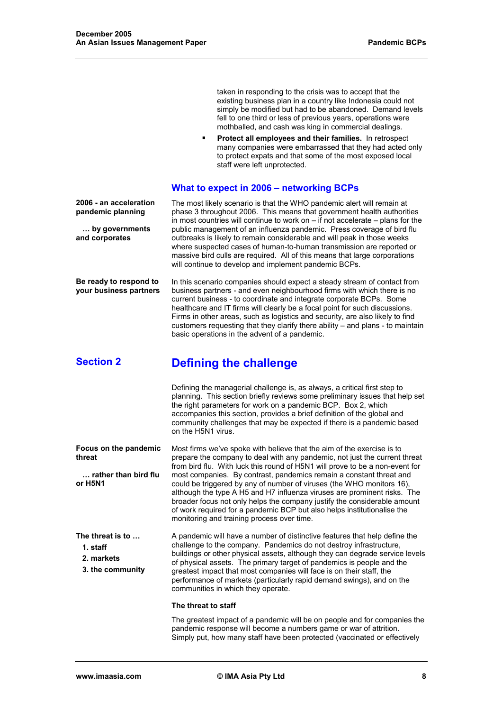taken in responding to the crisis was to accept that the existing business plan in a country like Indonesia could not simply be modified but had to be abandoned. Demand levels fell to one third or less of previous years, operations were mothballed, and cash was king in commercial dealings. **Protect all employees and their families.** In retrospect many companies were embarrassed that they had acted only to protect expats and that some of the most exposed local staff were left unprotected. **What to expect in 2006 – networking BCPs 2006 - an acceleration pandemic planning … by governments and corporates**  The most likely scenario is that the WHO pandemic alert will remain at phase 3 throughout 2006. This means that government health authorities in most countries will continue to work on – if not accelerate – plans for the public management of an influenza pandemic. Press coverage of bird flu outbreaks is likely to remain considerable and will peak in those weeks where suspected cases of human-to-human transmission are reported or massive bird culls are required. All of this means that large corporations will continue to develop and implement pandemic BCPs. **Be ready to respond to your business partners**  In this scenario companies should expect a steady stream of contact from business partners - and even neighbourhood firms with which there is no current business - to coordinate and integrate corporate BCPs. Some healthcare and IT firms will clearly be a focal point for such discussions. Firms in other areas, such as logistics and security, are also likely to find customers requesting that they clarify there ability – and plans - to maintain basic operations in the advent of a pandemic. **Section 2 Defining the challenge**  Defining the managerial challenge is, as always, a critical first step to planning. This section briefly reviews some preliminary issues that help set the right parameters for work on a pandemic BCP. Box 2, which accompanies this section, provides a brief definition of the global and community challenges that may be expected if there is a pandemic based on the H5N1 virus. **Focus on the pandemic threat … rather than bird flu or H5N1**  Most firms we've spoke with believe that the aim of the exercise is to prepare the company to deal with any pandemic, not just the current threat from bird flu. With luck this round of H5N1 will prove to be a non-event for most companies. By contrast, pandemics remain a constant threat and could be triggered by any of number of viruses (the WHO monitors 16), although the type A H5 and H7 influenza viruses are prominent risks. The broader focus not only helps the company justify the considerable amount of work required for a pandemic BCP but also helps institutionalise the monitoring and training process over time. **The threat is to … 1. staff 2. markets 3. the community**  A pandemic will have a number of distinctive features that help define the challenge to the company. Pandemics do not destroy infrastructure, buildings or other physical assets, although they can degrade service levels of physical assets. The primary target of pandemics is people and the greatest impact that most companies will face is on their staff, the performance of markets (particularly rapid demand swings), and on the communities in which they operate. **The threat to staff** The greatest impact of a pandemic will be on people and for companies the pandemic response will become a numbers game or war of attrition.

Simply put, how many staff have been protected (vaccinated or effectively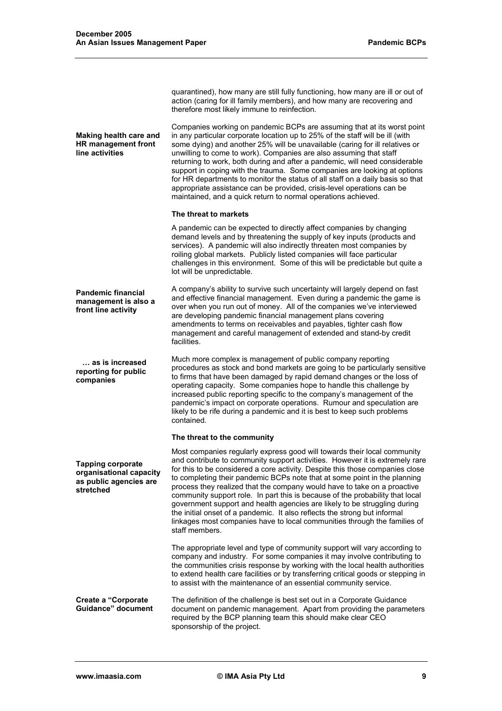**Making health care and HR management front line activities**  action (caring for ill family members), and how many are recovering and therefore most likely immune to reinfection. Companies working on pandemic BCPs are assuming that at its worst point in any particular corporate location up to 25% of the staff will be ill (with some dying) and another 25% will be unavailable (caring for ill relatives or unwilling to come to work). Companies are also assuming that staff returning to work, both during and after a pandemic, will need considerable support in coping with the trauma. Some companies are looking at options for HR departments to monitor the status of all staff on a daily basis so that appropriate assistance can be provided, crisis-level operations can be maintained, and a quick return to normal operations achieved. **Pandemic financial management is also a front line activity … as is increased reporting for public companies The threat to markets**  A pandemic can be expected to directly affect companies by changing demand levels and by threatening the supply of key inputs (products and services). A pandemic will also indirectly threaten most companies by roiling global markets. Publicly listed companies will face particular challenges in this environment. Some of this will be predictable but quite a lot will be unpredictable. A company's ability to survive such uncertainty will largely depend on fast and effective financial management. Even during a pandemic the game is over when you run out of money. All of the companies we've interviewed are developing pandemic financial management plans covering amendments to terms on receivables and payables, tighter cash flow management and careful management of extended and stand-by credit facilities. Much more complex is management of public company reporting procedures as stock and bond markets are going to be particularly sensitive to firms that have been damaged by rapid demand changes or the loss of operating capacity. Some companies hope to handle this challenge by increased public reporting specific to the company's management of the pandemic's impact on corporate operations. Rumour and speculation are likely to be rife during a pandemic and it is best to keep such problems contained. **Tapping corporate organisational capacity as public agencies are stretched The threat to the community**  Most companies regularly express good will towards their local community and contribute to community support activities. However it is extremely rare for this to be considered a core activity. Despite this those companies close to completing their pandemic BCPs note that at some point in the planning process they realized that the company would have to take on a proactive community support role. In part this is because of the probability that local government support and health agencies are likely to be struggling during the initial onset of a pandemic. It also reflects the strong but informal linkages most companies have to local communities through the families of staff members. The appropriate level and type of community support will vary according to company and industry. For some companies it may involve contributing to the communities crisis response by working with the local health authorities to extend health care facilities or by transferring critical goods or stepping in to assist with the maintenance of an essential community service. **Create a "Corporate Guidance" document**  The definition of the challenge is best set out in a Corporate Guidance document on pandemic management. Apart from providing the parameters required by the BCP planning team this should make clear CEO sponsorship of the project.

quarantined), how many are still fully functioning, how many are ill or out of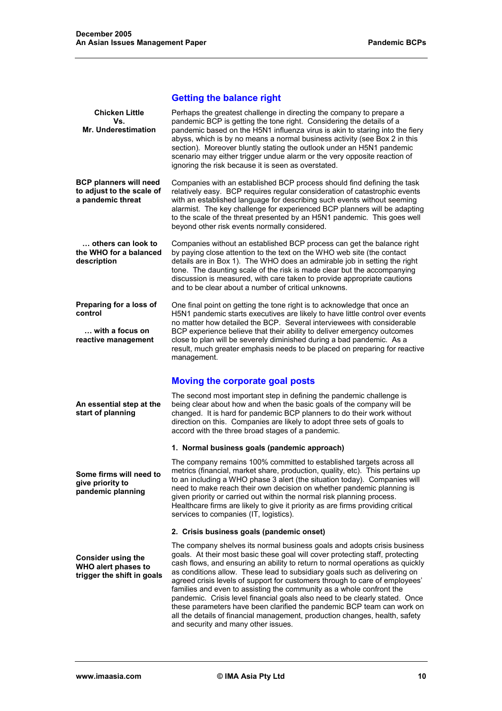# **Getting the balance right**

| <b>Chicken Little</b><br>Vs.<br><b>Mr. Underestimation</b>                      | Perhaps the greatest challenge in directing the company to prepare a<br>pandemic BCP is getting the tone right. Considering the details of a<br>pandemic based on the H5N1 influenza virus is akin to staring into the fiery<br>abyss, which is by no means a normal business activity (see Box 2 in this<br>section). Moreover bluntly stating the outlook under an H5N1 pandemic<br>scenario may either trigger undue alarm or the very opposite reaction of<br>ignoring the risk because it is seen as overstated.                                                                                                                                                                                                                                         |
|---------------------------------------------------------------------------------|---------------------------------------------------------------------------------------------------------------------------------------------------------------------------------------------------------------------------------------------------------------------------------------------------------------------------------------------------------------------------------------------------------------------------------------------------------------------------------------------------------------------------------------------------------------------------------------------------------------------------------------------------------------------------------------------------------------------------------------------------------------|
| <b>BCP planners will need</b><br>to adjust to the scale of<br>a pandemic threat | Companies with an established BCP process should find defining the task<br>relatively easy. BCP requires regular consideration of catastrophic events<br>with an established language for describing such events without seeming<br>alarmist. The key challenge for experienced BCP planners will be adapting<br>to the scale of the threat presented by an H5N1 pandemic. This goes well<br>beyond other risk events normally considered.                                                                                                                                                                                                                                                                                                                    |
| others can look to<br>the WHO for a balanced<br>description                     | Companies without an established BCP process can get the balance right<br>by paying close attention to the text on the WHO web site (the contact<br>details are in Box 1). The WHO does an admirable job in setting the right<br>tone. The daunting scale of the risk is made clear but the accompanying<br>discussion is measured, with care taken to provide appropriate cautions<br>and to be clear about a number of critical unknowns.                                                                                                                                                                                                                                                                                                                   |
| Preparing for a loss of<br>control<br>with a focus on<br>reactive management    | One final point on getting the tone right is to acknowledge that once an<br>H5N1 pandemic starts executives are likely to have little control over events<br>no matter how detailed the BCP. Several interviewees with considerable<br>BCP experience believe that their ability to deliver emergency outcomes<br>close to plan will be severely diminished during a bad pandemic. As a<br>result, much greater emphasis needs to be placed on preparing for reactive<br>management.                                                                                                                                                                                                                                                                          |
|                                                                                 | <b>Moving the corporate goal posts</b>                                                                                                                                                                                                                                                                                                                                                                                                                                                                                                                                                                                                                                                                                                                        |
| An essential step at the<br>start of planning                                   | The second most important step in defining the pandemic challenge is<br>being clear about how and when the basic goals of the company will be<br>changed. It is hard for pandemic BCP planners to do their work without<br>direction on this. Companies are likely to adopt three sets of goals to<br>accord with the three broad stages of a pandemic.                                                                                                                                                                                                                                                                                                                                                                                                       |
|                                                                                 | 1. Normal business goals (pandemic approach)                                                                                                                                                                                                                                                                                                                                                                                                                                                                                                                                                                                                                                                                                                                  |
| Some firms will need to<br>give priority to<br>pandemic planning                | The company remains 100% committed to established targets across all<br>metrics (financial, market share, production, quality, etc). This pertains up<br>to an including a WHO phase 3 alert (the situation today). Companies will<br>need to make reach their own decision on whether pandemic planning is<br>given priority or carried out within the normal risk planning process.<br>Healthcare firms are likely to give it priority as are firms providing critical<br>services to companies (IT, logistics).                                                                                                                                                                                                                                            |
|                                                                                 | 2. Crisis business goals (pandemic onset)                                                                                                                                                                                                                                                                                                                                                                                                                                                                                                                                                                                                                                                                                                                     |
| <b>Consider using the</b><br>WHO alert phases to<br>trigger the shift in goals  | The company shelves its normal business goals and adopts crisis business<br>goals. At their most basic these goal will cover protecting staff, protecting<br>cash flows, and ensuring an ability to return to normal operations as quickly<br>as conditions allow. These lead to subsidiary goals such as delivering on<br>agreed crisis levels of support for customers through to care of employees'<br>families and even to assisting the community as a whole confront the<br>pandemic. Crisis level financial goals also need to be clearly stated. Once<br>these parameters have been clarified the pandemic BCP team can work on<br>all the details of financial management, production changes, health, safety<br>and security and many other issues. |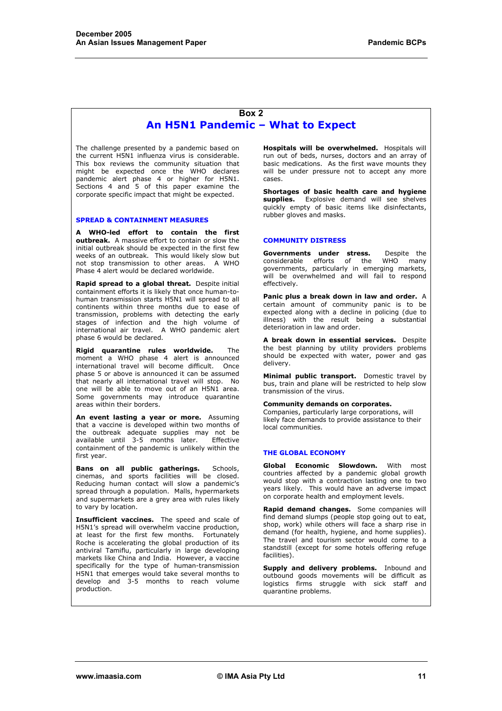#### **Box 2 An H5N1 Pandemic – What to Expect**

The challenge presented by a pandemic based on the current H5N1 influenza virus is considerable. This box reviews the community situation that might be expected once the WHO declares pandemic alert phase 4 or higher for H5N1. Sections 4 and 5 of this paper examine the corporate specific impact that might be expected.

#### **SPREAD & CONTAINMENT MEASURES**

**A WHO-led effort to contain the first outbreak.** A massive effort to contain or slow the initial outbreak should be expected in the first few weeks of an outbreak. This would likely slow but not stop transmission to other areas. A WHO Phase 4 alert would be declared worldwide.

**Rapid spread to a global threat.** Despite initial containment efforts it is likely that once human-tohuman transmission starts H5N1 will spread to all continents within three months due to ease of transmission, problems with detecting the early stages of infection and the high volume of international air travel. A WHO pandemic alert phase 6 would be declared.

**Rigid quarantine rules worldwide.** The moment a WHO phase 4 alert is announced international travel will become difficult. Once phase 5 or above is announced it can be assumed that nearly all international travel will stop. No one will be able to move out of an H5N1 area. Some governments may introduce quarantine areas within their borders.

**An event lasting a year or more.** Assuming that a vaccine is developed within two months of the outbreak adequate supplies may not be available until 3-5 months later. Effective containment of the pandemic is unlikely within the first year.

**Bans on all public gatherings.** Schools, cinemas, and sports facilities will be closed. Reducing human contact will slow a pandemic's spread through a population. Malls, hypermarkets and supermarkets are a grey area with rules likely to vary by location.

**Insufficient vaccines.** The speed and scale of H5N1's spread will overwhelm vaccine production, at least for the first few months. Fortunately Roche is accelerating the global production of its antiviral Tamiflu, particularly in large developing markets like China and India. However, a vaccine specifically for the type of human-transmission H5N1 that emerges would take several months to develop and 3-5 months to reach volume production.

**Hospitals will be overwhelmed.** Hospitals will run out of beds, nurses, doctors and an array of basic medications. As the first wave mounts they will be under pressure not to accept any more cases.

**Shortages of basic health care and hygiene supplies.** Explosive demand will see shelves quickly empty of basic items like disinfectants, rubber gloves and masks.

#### **COMMUNITY DISTRESS**

**Governments under stress.** Despite the considerable efforts of the WHO many considerable efforts of the WHO many governments, particularly in emerging markets, will be overwhelmed and will fail to respond effectively.

**Panic plus a break down in law and order.** A certain amount of community panic is to be expected along with a decline in policing (due to illness) with the result being a substantial deterioration in law and order.

**A break down in essential services.** Despite the best planning by utility providers problems should be expected with water, power and gas delivery.

**Minimal public transport.** Domestic travel by bus, train and plane will be restricted to help slow transmission of the virus.

#### **Community demands on corporates.**

Companies, particularly large corporations, will likely face demands to provide assistance to their local communities.

#### **THE GLOBAL ECONOMY**

**Global Economic Slowdown.** With most countries affected by a pandemic global growth would stop with a contraction lasting one to two years likely. This would have an adverse impact on corporate health and employment levels.

**Rapid demand changes.** Some companies will find demand slumps (people stop going out to eat, shop, work) while others will face a sharp rise in demand (for health, hygiene, and home supplies). The travel and tourism sector would come to a standstill (except for some hotels offering refuge facilities).

**Supply and delivery problems.** Inbound and outbound goods movements will be difficult as logistics firms struggle with sick staff and quarantine problems.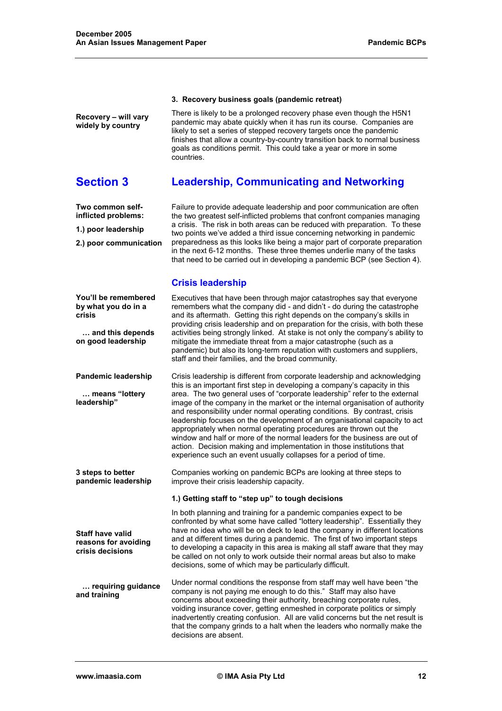#### **3. Recovery business goals (pandemic retreat)**

There is likely to be a prolonged recovery phase even though the H5N1 pandemic may abate quickly when it has run its course. Companies are likely to set a series of stepped recovery targets once the pandemic finishes that allow a country-by-country transition back to normal business goals as conditions permit. This could take a year or more in some countries.

# **Section 3 Leadership, Communicating and Networking**

**Two common selfinflicted problems:** 

**Recovery – will vary widely by country** 

**1.) poor leadership** 

**2.) poor communication** 

**You'll be remembered by what you do in a** 

 **… and this depends on good leadership** 

**Pandemic leadership** 

 **… means "lottery** 

**leadership"** 

**3 steps to better** 

**Staff have valid reasons for avoiding crisis decisions** 

**crisis** 

Failure to provide adequate leadership and poor communication are often the two greatest self-inflicted problems that confront companies managing a crisis. The risk in both areas can be reduced with preparation. To these two points we've added a third issue concerning networking in pandemic preparedness as this looks like being a major part of corporate preparation in the next 6-12 months. These three themes underlie many of the tasks that need to be carried out in developing a pandemic BCP (see Section 4).

#### **Crisis leadership**

Executives that have been through major catastrophes say that everyone remembers what the company did - and didn't - do during the catastrophe and its aftermath. Getting this right depends on the company's skills in providing crisis leadership and on preparation for the crisis, with both these activities being strongly linked. At stake is not only the company's ability to mitigate the immediate threat from a major catastrophe (such as a pandemic) but also its long-term reputation with customers and suppliers, staff and their families, and the broad community.

Crisis leadership is different from corporate leadership and acknowledging this is an important first step in developing a company's capacity in this area. The two general uses of "corporate leadership" refer to the external image of the company in the market or the internal organisation of authority and responsibility under normal operating conditions. By contrast, crisis leadership focuses on the development of an organisational capacity to act appropriately when normal operating procedures are thrown out the window and half or more of the normal leaders for the business are out of action. Decision making and implementation in those institutions that experience such an event usually collapses for a period of time.

**pandemic leadership**  Companies working on pandemic BCPs are looking at three steps to improve their crisis leadership capacity.

#### **1.) Getting staff to "step up" to tough decisions**

In both planning and training for a pandemic companies expect to be confronted by what some have called "lottery leadership". Essentially they have no idea who will be on deck to lead the company in different locations and at different times during a pandemic. The first of two important steps to developing a capacity in this area is making all staff aware that they may be called on not only to work outside their normal areas but also to make decisions, some of which may be particularly difficult.

 **… requiring guidance and training**  Under normal conditions the response from staff may well have been "the company is not paying me enough to do this." Staff may also have concerns about exceeding their authority, breaching corporate rules, voiding insurance cover, getting enmeshed in corporate politics or simply inadvertently creating confusion. All are valid concerns but the net result is that the company grinds to a halt when the leaders who normally make the decisions are absent.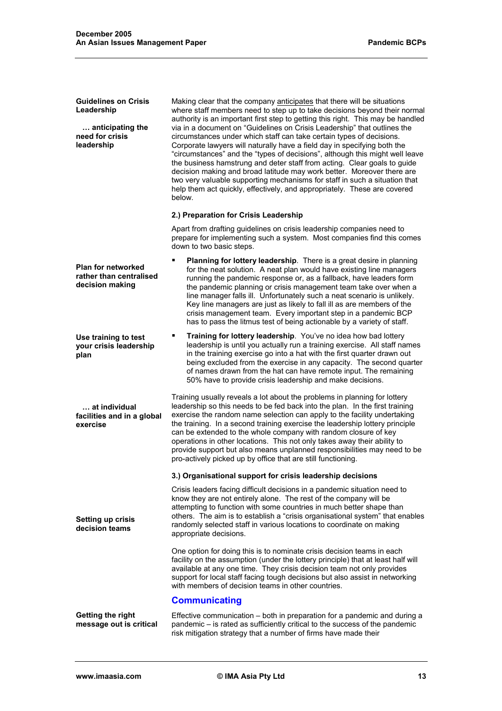**Guidelines on Crisis Leadership** 

 **… anticipating the need for crisis leadership** 

**Use training to test your crisis leadership** 

 **… at individual facilities and in a global** 

**Setting up crisis decision teams** 

**plan** 

**exercise** 

Making clear that the company anticipates that there will be situations where staff members need to step up to take decisions beyond their normal authority is an important first step to getting this right. This may be handled via in a document on "Guidelines on Crisis Leadership" that outlines the circumstances under which staff can take certain types of decisions. Corporate lawyers will naturally have a field day in specifying both the "circumstances" and the "types of decisions", although this might well leave the business hamstrung and deter staff from acting. Clear goals to guide decision making and broad latitude may work better. Moreover there are two very valuable supporting mechanisms for staff in such a situation that help them act quickly, effectively, and appropriately. These are covered below.

#### **2.) Preparation for Crisis Leadership**

Apart from drafting guidelines on crisis leadership companies need to prepare for implementing such a system. Most companies find this comes down to two basic steps.

- **Plan for networked rather than centralised decision making Planning for lottery leadership**. There is a great desire in planning for the neat solution. A neat plan would have existing line managers running the pandemic response or, as a fallback, have leaders form the pandemic planning or crisis management team take over when a line manager falls ill. Unfortunately such a neat scenario is unlikely. Key line managers are just as likely to fall ill as are members of the crisis management team. Every important step in a pandemic BCP has to pass the litmus test of being actionable by a variety of staff.
	- **Training for lottery leadership**. You've no idea how bad lottery leadership is until you actually run a training exercise. All staff names in the training exercise go into a hat with the first quarter drawn out being excluded from the exercise in any capacity. The second quarter of names drawn from the hat can have remote input. The remaining 50% have to provide crisis leadership and make decisions.

Training usually reveals a lot about the problems in planning for lottery leadership so this needs to be fed back into the plan. In the first training exercise the random name selection can apply to the facility undertaking the training. In a second training exercise the leadership lottery principle can be extended to the whole company with random closure of key operations in other locations. This not only takes away their ability to provide support but also means unplanned responsibilities may need to be pro-actively picked up by office that are still functioning.

#### **3.) Organisational support for crisis leadership decisions**

Crisis leaders facing difficult decisions in a pandemic situation need to know they are not entirely alone. The rest of the company will be attempting to function with some countries in much better shape than others. The aim is to establish a "crisis organisational system" that enables randomly selected staff in various locations to coordinate on making appropriate decisions.

One option for doing this is to nominate crisis decision teams in each facility on the assumption (under the lottery principle) that at least half will available at any one time. They crisis decision team not only provides support for local staff facing tough decisions but also assist in networking with members of decision teams in other countries.

#### **Communicating**

**Getting the right message out is critical**  Effective communication – both in preparation for a pandemic and during a pandemic – is rated as sufficiently critical to the success of the pandemic risk mitigation strategy that a number of firms have made their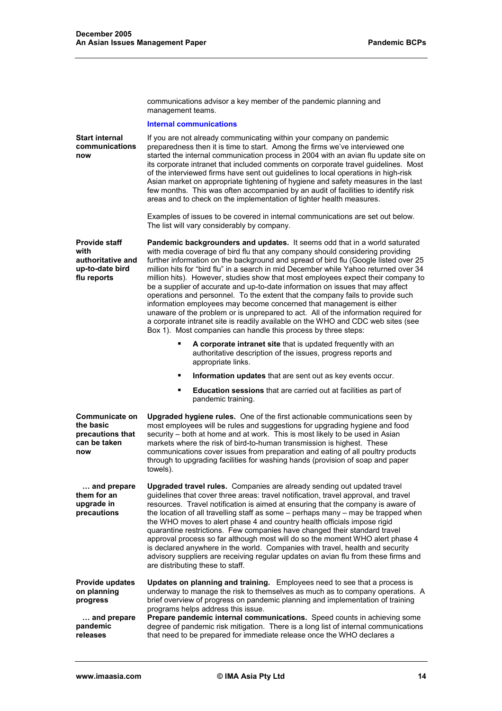communications advisor a key member of the pandemic planning and management teams.

#### **Internal communications**

| <b>Start internal</b><br>communications<br>now                                      | If you are not already communicating within your company on pandemic<br>preparedness then it is time to start. Among the firms we've interviewed one<br>started the internal communication process in 2004 with an avian flu update site on<br>its corporate intranet that included comments on corporate travel guidelines. Most<br>of the interviewed firms have sent out guidelines to local operations in high-risk<br>Asian market on appropriate tightening of hygiene and safety measures in the last<br>few months. This was often accompanied by an audit of facilities to identify risk<br>areas and to check on the implementation of tighter health measures.                                                                                                                                                                                                                                               |  |
|-------------------------------------------------------------------------------------|-------------------------------------------------------------------------------------------------------------------------------------------------------------------------------------------------------------------------------------------------------------------------------------------------------------------------------------------------------------------------------------------------------------------------------------------------------------------------------------------------------------------------------------------------------------------------------------------------------------------------------------------------------------------------------------------------------------------------------------------------------------------------------------------------------------------------------------------------------------------------------------------------------------------------|--|
|                                                                                     | Examples of issues to be covered in internal communications are set out below.<br>The list will vary considerably by company.                                                                                                                                                                                                                                                                                                                                                                                                                                                                                                                                                                                                                                                                                                                                                                                           |  |
| <b>Provide staff</b><br>with<br>authoritative and<br>up-to-date bird<br>flu reports | Pandemic backgrounders and updates. It seems odd that in a world saturated<br>with media coverage of bird flu that any company should considering providing<br>further information on the background and spread of bird flu (Google listed over 25<br>million hits for "bird flu" in a search in mid December while Yahoo returned over 34<br>million hits). However, studies show that most employees expect their company to<br>be a supplier of accurate and up-to-date information on issues that may affect<br>operations and personnel. To the extent that the company fails to provide such<br>information employees may become concerned that management is either<br>unaware of the problem or is unprepared to act. All of the information required for<br>a corporate intranet site is readily available on the WHO and CDC web sites (see<br>Box 1). Most companies can handle this process by three steps: |  |
|                                                                                     | A corporate intranet site that is updated frequently with an<br>٠<br>authoritative description of the issues, progress reports and<br>appropriate links.                                                                                                                                                                                                                                                                                                                                                                                                                                                                                                                                                                                                                                                                                                                                                                |  |
|                                                                                     | Information updates that are sent out as key events occur.<br>п                                                                                                                                                                                                                                                                                                                                                                                                                                                                                                                                                                                                                                                                                                                                                                                                                                                         |  |
|                                                                                     | <b>Education sessions</b> that are carried out at facilities as part of<br>п<br>pandemic training.                                                                                                                                                                                                                                                                                                                                                                                                                                                                                                                                                                                                                                                                                                                                                                                                                      |  |
| <b>Communicate on</b><br>the basic<br>precautions that<br>can be taken<br>now       | Upgraded hygiene rules. One of the first actionable communications seen by<br>most employees will be rules and suggestions for upgrading hygiene and food<br>security – both at home and at work. This is most likely to be used in Asian<br>markets where the risk of bird-to-human transmission is highest. These<br>communications cover issues from preparation and eating of all poultry products<br>through to upgrading facilities for washing hands (provision of soap and paper<br>towels).                                                                                                                                                                                                                                                                                                                                                                                                                    |  |
| and prepare<br>them for an<br>upgrade in<br>precautions                             | Upgraded travel rules. Companies are already sending out updated travel<br>guidelines that cover three areas: travel notification, travel approval, and travel<br>resources. Travel notification is aimed at ensuring that the company is aware of<br>the location of all travelling staff as some - perhaps many - may be trapped when<br>the WHO moves to alert phase 4 and country health officials impose rigid<br>quarantine restrictions. Few companies have changed their standard travel<br>approval process so far although most will do so the moment WHO alert phase 4<br>is declared anywhere in the world. Companies with travel, health and security<br>advisory suppliers are receiving regular updates on avian flu from these firms and<br>are distributing these to staff.                                                                                                                            |  |
| Provide updates<br>on planning<br>progress<br>and prepare<br>pandemic<br>releases   | Updates on planning and training. Employees need to see that a process is<br>underway to manage the risk to themselves as much as to company operations. A<br>brief overview of progress on pandemic planning and implementation of training<br>programs helps address this issue.<br>Prepare pandemic internal communications. Speed counts in achieving some<br>degree of pandemic risk mitigation. There is a long list of internal communications<br>that need to be prepared for immediate release once the WHO declares a                                                                                                                                                                                                                                                                                                                                                                                         |  |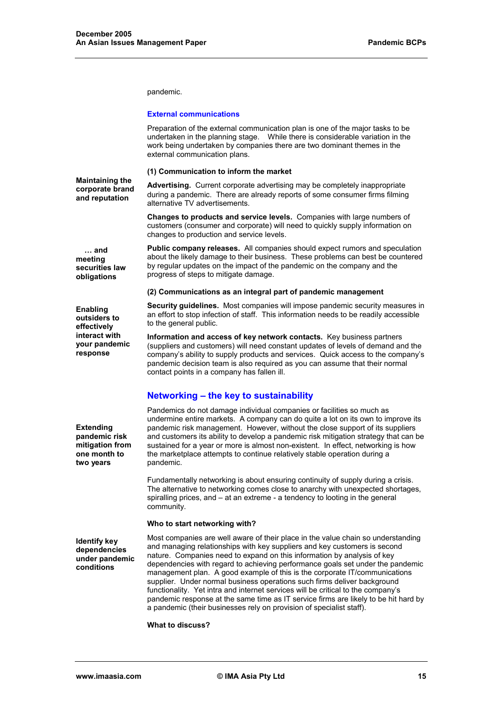pandemic.

#### **External communications**

Preparation of the external communication plan is one of the major tasks to be undertaken in the planning stage. While there is considerable variation in the work being undertaken by companies there are two dominant themes in the external communication plans.

**(1) Communication to inform the market** 

**Maintaining the corporate brand and reputation** 

**Advertising.** Current corporate advertising may be completely inappropriate during a pandemic. There are already reports of some consumer firms filming alternative TV advertisements.

**Changes to products and service levels.** Companies with large numbers of customers (consumer and corporate) will need to quickly supply information on changes to production and service levels.

 **… and meeting securities law obligations** 

**Public company releases.** All companies should expect rumors and speculation about the likely damage to their business. These problems can best be countered by regular updates on the impact of the pandemic on the company and the progress of steps to mitigate damage.

#### **(2) Communications as an integral part of pandemic management**

**Enabling outsiders to effectively interact with your pandemic response** 

**Extending pandemic risk mitigation from one month to two years** 

to the general public. **Information and access of key network contacts.** Key business partners

**Security guidelines.** Most companies will impose pandemic security measures in an effort to stop infection of staff. This information needs to be readily accessible

(suppliers and customers) will need constant updates of levels of demand and the company's ability to supply products and services. Quick access to the company's pandemic decision team is also required as you can assume that their normal contact points in a company has fallen ill.

## **Networking – the key to sustainability**

Pandemics do not damage individual companies or facilities so much as undermine entire markets. A company can do quite a lot on its own to improve its pandemic risk management. However, without the close support of its suppliers and customers its ability to develop a pandemic risk mitigation strategy that can be sustained for a year or more is almost non-existent. In effect, networking is how the marketplace attempts to continue relatively stable operation during a pandemic.

Fundamentally networking is about ensuring continuity of supply during a crisis. The alternative to networking comes close to anarchy with unexpected shortages, spiralling prices, and – at an extreme - a tendency to looting in the general community.

#### **Who to start networking with?**

**Identify key dependencies under pandemic conditions** 

Most companies are well aware of their place in the value chain so understanding and managing relationships with key suppliers and key customers is second nature. Companies need to expand on this information by analysis of key dependencies with regard to achieving performance goals set under the pandemic management plan. A good example of this is the corporate IT/communications supplier. Under normal business operations such firms deliver background functionality. Yet intra and internet services will be critical to the company's pandemic response at the same time as IT service firms are likely to be hit hard by a pandemic (their businesses rely on provision of specialist staff).

#### **What to discuss?**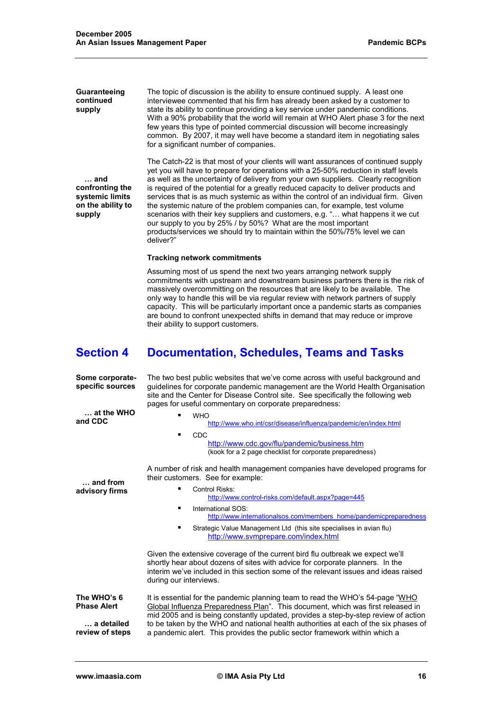The topic of discussion is the ability to ensure continued supply. A least one interviewee commented that his firm has already been asked by a customer to state its ability to continue providing a key service under pandemic conditions. With a 90% probability that the world will remain at WHO Alert phase 3 for the next few years this type of pointed commercial discussion will become increasingly common. By 2007, it may well have become a standard item in negotiating sales for a significant number of companies.

 **… and confronting the systemic limits on the ability to supply** 

**Guaranteeing continued supply** 

> The Catch-22 is that most of your clients will want assurances of continued supply yet you will have to prepare for operations with a 25-50% reduction in staff levels as well as the uncertainty of delivery from your own suppliers. Clearly recognition is required of the potential for a greatly reduced capacity to deliver products and services that is as much systemic as within the control of an individual firm. Given the systemic nature of the problem companies can, for example, test volume scenarios with their key suppliers and customers, e.g. "… what happens it we cut our supply to you by 25% / by 50%? What are the most important products/services we should try to maintain within the 50%/75% level we can deliver?"

#### **Tracking network commitments**

Assuming most of us spend the next two years arranging network supply commitments with upstream and downstream business partners there is the risk of massively overcommitting on the resources that are likely to be available. The only way to handle this will be via regular review with network partners of supply capacity. This will be particularly important once a pandemic starts as companies are bound to confront unexpected shifts in demand that may reduce or improve their ability to support customers.

# **Section 4 Documentation, Schedules, Teams and Tasks**

| The two best public websites that we've come across with useful background and<br>guidelines for corporate pandemic management are the World Health Organisation<br>site and the Center for Disease Control site. See specifically the following web<br>pages for useful commentary on corporate preparedness:<br><b>WHO</b><br>http://www.who.int/csr/disease/influenza/pandemic/en/index.html                             |
|-----------------------------------------------------------------------------------------------------------------------------------------------------------------------------------------------------------------------------------------------------------------------------------------------------------------------------------------------------------------------------------------------------------------------------|
| <b>CDC</b><br>٠<br>http://www.cdc.gov/flu/pandemic/business.htm<br>(kook for a 2 page checklist for corporate preparedness)                                                                                                                                                                                                                                                                                                 |
| A number of risk and health management companies have developed programs for<br>their customers. See for example:                                                                                                                                                                                                                                                                                                           |
| Control Risks:<br>http://www.control-risks.com/default.aspx?page=445                                                                                                                                                                                                                                                                                                                                                        |
| International SOS:<br>٠<br>http://www.internationalsos.com/members_home/pandemicpreparedness                                                                                                                                                                                                                                                                                                                                |
| Strategic Value Management Ltd (this site specialises in avian flu)<br>٠<br>http://www.svmprepare.com/index.html                                                                                                                                                                                                                                                                                                            |
| Given the extensive coverage of the current bird flu outbreak we expect we'll<br>shortly hear about dozens of sites with advice for corporate planners. In the<br>interim we've included in this section some of the relevant issues and ideas raised<br>during our interviews.                                                                                                                                             |
| It is essential for the pandemic planning team to read the WHO's 54-page "WHO<br>Global Influenza Preparedness Plan". This document, which was first released in<br>mid 2005 and is being constantly updated, provides a step-by-step review of action<br>to be taken by the WHO and national health authorities at each of the six phases of<br>a pandemic alert. This provides the public sector framework within which a |
|                                                                                                                                                                                                                                                                                                                                                                                                                             |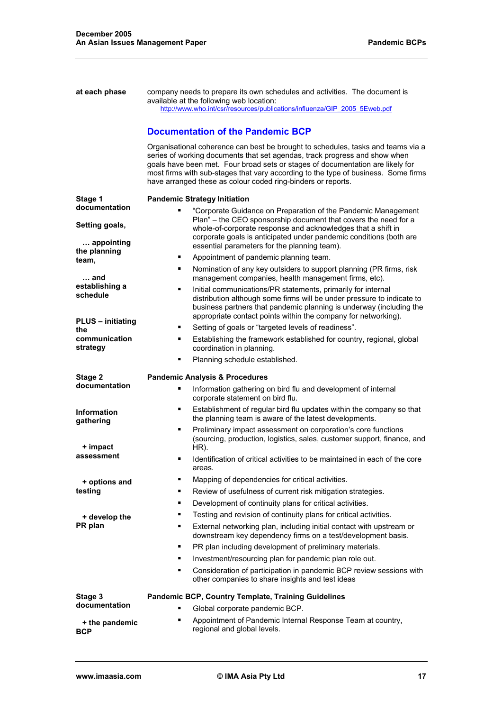| at each phase                   | company needs to prepare its own schedules and activities. The document is<br>available at the following web location:<br>http://www.who.int/csr/resources/publications/influenza/GIP 2005 5Eweb.pdf<br><b>Documentation of the Pandemic BCP</b><br>Organisational coherence can best be brought to schedules, tasks and teams via a<br>series of working documents that set agendas, track progress and show when<br>goals have been met. Four broad sets or stages of documentation are likely for<br>most firms with sub-stages that vary according to the type of business. Some firms<br>have arranged these as colour coded ring-binders or reports. |
|---------------------------------|------------------------------------------------------------------------------------------------------------------------------------------------------------------------------------------------------------------------------------------------------------------------------------------------------------------------------------------------------------------------------------------------------------------------------------------------------------------------------------------------------------------------------------------------------------------------------------------------------------------------------------------------------------|
| Stage 1<br>documentation        | <b>Pandemic Strategy Initiation</b><br>"Corporate Guidance on Preparation of the Pandemic Management                                                                                                                                                                                                                                                                                                                                                                                                                                                                                                                                                       |
| Setting goals,<br>appointing    | Plan" – the CEO sponsorship document that covers the need for a<br>whole-of-corporate response and acknowledges that a shift in<br>corporate goals is anticipated under pandemic conditions (both are<br>essential parameters for the planning team).                                                                                                                                                                                                                                                                                                                                                                                                      |
| the planning                    | Appointment of pandemic planning team.<br>٠                                                                                                                                                                                                                                                                                                                                                                                                                                                                                                                                                                                                                |
| team,                           | Nomination of any key outsiders to support planning (PR firms, risk<br>٠                                                                                                                                                                                                                                                                                                                                                                                                                                                                                                                                                                                   |
| … and                           | management companies, health management firms, etc).                                                                                                                                                                                                                                                                                                                                                                                                                                                                                                                                                                                                       |
| establishing a<br>schedule      | Initial communications/PR statements, primarily for internal<br>٠<br>distribution although some firms will be under pressure to indicate to<br>business partners that pandemic planning is underway (including the<br>appropriate contact points within the company for networking).                                                                                                                                                                                                                                                                                                                                                                       |
| <b>PLUS</b> - initiating<br>the | Setting of goals or "targeted levels of readiness".<br>٠                                                                                                                                                                                                                                                                                                                                                                                                                                                                                                                                                                                                   |
| communication<br>strategy       | Establishing the framework established for country, regional, global<br>٠<br>coordination in planning.                                                                                                                                                                                                                                                                                                                                                                                                                                                                                                                                                     |
|                                 | ٠<br>Planning schedule established.                                                                                                                                                                                                                                                                                                                                                                                                                                                                                                                                                                                                                        |
| Stage 2<br>documentation        | <b>Pandemic Analysis &amp; Procedures</b>                                                                                                                                                                                                                                                                                                                                                                                                                                                                                                                                                                                                                  |
|                                 | Information gathering on bird flu and development of internal<br>٠<br>corporate statement on bird flu.                                                                                                                                                                                                                                                                                                                                                                                                                                                                                                                                                     |
| <b>Information</b><br>gathering | Establishment of regular bird flu updates within the company so that<br>٠<br>the planning team is aware of the latest developments.                                                                                                                                                                                                                                                                                                                                                                                                                                                                                                                        |
| + impact                        | Preliminary impact assessment on corporation's core functions<br>٠<br>(sourcing, production, logistics, sales, customer support, finance, and<br>HR).                                                                                                                                                                                                                                                                                                                                                                                                                                                                                                      |
| assessment                      | Identification of critical activities to be maintained in each of the core<br>٠<br>areas.                                                                                                                                                                                                                                                                                                                                                                                                                                                                                                                                                                  |
| + options and                   | Mapping of dependencies for critical activities.<br>٠                                                                                                                                                                                                                                                                                                                                                                                                                                                                                                                                                                                                      |
| testing                         | Review of usefulness of current risk mitigation strategies.<br>٠                                                                                                                                                                                                                                                                                                                                                                                                                                                                                                                                                                                           |
|                                 | Development of continuity plans for critical activities.<br>٠                                                                                                                                                                                                                                                                                                                                                                                                                                                                                                                                                                                              |
| + develop the                   | Testing and revision of continuity plans for critical activities.<br>٠                                                                                                                                                                                                                                                                                                                                                                                                                                                                                                                                                                                     |
| PR plan                         | External networking plan, including initial contact with upstream or<br>٠<br>downstream key dependency firms on a test/development basis.                                                                                                                                                                                                                                                                                                                                                                                                                                                                                                                  |
|                                 | PR plan including development of preliminary materials.<br>٠                                                                                                                                                                                                                                                                                                                                                                                                                                                                                                                                                                                               |
|                                 | Investment/resourcing plan for pandemic plan role out.<br>٠                                                                                                                                                                                                                                                                                                                                                                                                                                                                                                                                                                                                |
|                                 | Consideration of participation in pandemic BCP review sessions with<br>٠<br>other companies to share insights and test ideas                                                                                                                                                                                                                                                                                                                                                                                                                                                                                                                               |
| Stage 3                         | Pandemic BCP, Country Template, Training Guidelines                                                                                                                                                                                                                                                                                                                                                                                                                                                                                                                                                                                                        |
| documentation                   | Global corporate pandemic BCP.<br>٠                                                                                                                                                                                                                                                                                                                                                                                                                                                                                                                                                                                                                        |
| + the pandemic                  |                                                                                                                                                                                                                                                                                                                                                                                                                                                                                                                                                                                                                                                            |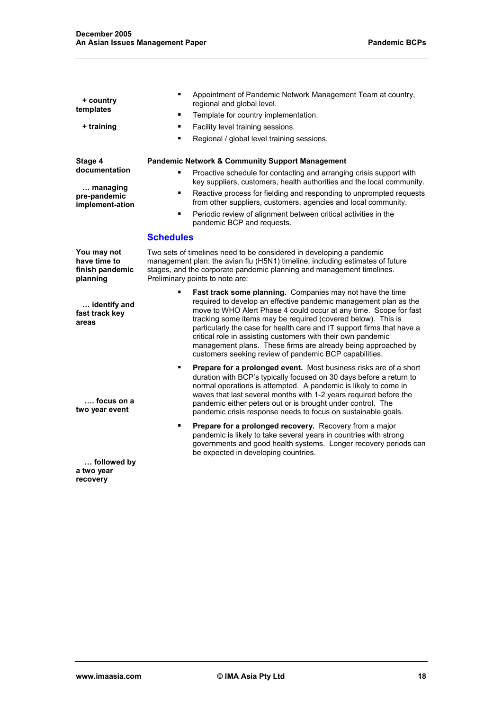| + country<br>templates<br>+ training                                    | Appointment of Pandemic Network Management Team at country,<br>٠<br>regional and global level.<br>Template for country implementation.<br>٠<br>Facility level training sessions.<br>٠<br>Regional / global level training sessions.<br>٠                                                                                                                                                                                                                                                                                                     |  |
|-------------------------------------------------------------------------|----------------------------------------------------------------------------------------------------------------------------------------------------------------------------------------------------------------------------------------------------------------------------------------------------------------------------------------------------------------------------------------------------------------------------------------------------------------------------------------------------------------------------------------------|--|
| Stage 4<br>documentation<br>managing<br>pre-pandemic<br>implement-ation | <b>Pandemic Network &amp; Community Support Management</b><br>Proactive schedule for contacting and arranging crisis support with<br>٠<br>key suppliers, customers, health authorities and the local community.<br>Reactive process for fielding and responding to unprompted requests<br>٠<br>from other suppliers, customers, agencies and local community.<br>Periodic review of alignment between critical activities in the<br>٠<br>pandemic BCP and requests.                                                                          |  |
|                                                                         | <b>Schedules</b>                                                                                                                                                                                                                                                                                                                                                                                                                                                                                                                             |  |
| You may not<br>have time to<br>finish pandemic<br>planning              | Two sets of timelines need to be considered in developing a pandemic<br>management plan: the avian flu (H5N1) timeline, including estimates of future<br>stages, and the corporate pandemic planning and management timelines.<br>Preliminary points to note are:                                                                                                                                                                                                                                                                            |  |
| identify and<br>fast track key<br>areas                                 | Fast track some planning. Companies may not have the time<br>٠<br>required to develop an effective pandemic management plan as the<br>move to WHO Alert Phase 4 could occur at any time. Scope for fast<br>tracking some items may be required (covered below). This is<br>particularly the case for health care and IT support firms that have a<br>critical role in assisting customers with their own pandemic<br>management plans. These firms are already being approached by<br>customers seeking review of pandemic BCP capabilities. |  |
| …. focus on a<br>two year event                                         | Prepare for a prolonged event. Most business risks are of a short<br>٠<br>duration with BCP's typically focused on 30 days before a return to<br>normal operations is attempted. A pandemic is likely to come in<br>waves that last several months with 1-2 years required before the<br>pandemic either peters out or is brought under control. The<br>pandemic crisis response needs to focus on sustainable goals.                                                                                                                        |  |
|                                                                         | Prepare for a prolonged recovery. Recovery from a major<br>٠<br>pandemic is likely to take several years in countries with strong<br>governments and good health systems. Longer recovery periods can<br>be expected in developing countries.                                                                                                                                                                                                                                                                                                |  |
| followed by<br>a two year                                               |                                                                                                                                                                                                                                                                                                                                                                                                                                                                                                                                              |  |

**recovery**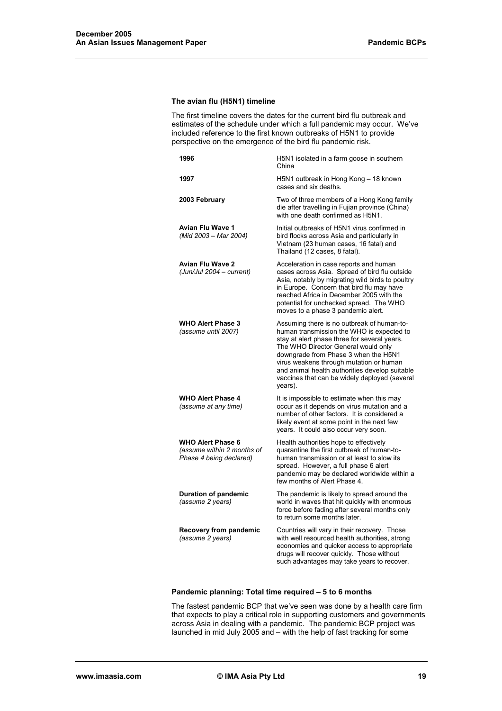#### **The avian flu (H5N1) timeline**

The first timeline covers the dates for the current bird flu outbreak and estimates of the schedule under which a full pandemic may occur. We've included reference to the first known outbreaks of H5N1 to provide perspective on the emergence of the bird flu pandemic risk.

| 1996                                                                              | H5N1 isolated in a farm goose in southern<br>China                                                                                                                                                                                                                                                                                                                              |
|-----------------------------------------------------------------------------------|---------------------------------------------------------------------------------------------------------------------------------------------------------------------------------------------------------------------------------------------------------------------------------------------------------------------------------------------------------------------------------|
| 1997                                                                              | H5N1 outbreak in Hong Kong - 18 known<br>cases and six deaths.                                                                                                                                                                                                                                                                                                                  |
| 2003 February                                                                     | Two of three members of a Hong Kong family<br>die after travelling in Fujian province (China)<br>with one death confirmed as H5N1.                                                                                                                                                                                                                                              |
| <b>Avian Flu Wave 1</b><br>(Mid 2003 - Mar 2004)                                  | Initial outbreaks of H5N1 virus confirmed in<br>bird flocks across Asia and particularly in<br>Vietnam (23 human cases, 16 fatal) and<br>Thailand (12 cases, 8 fatal).                                                                                                                                                                                                          |
| <b>Avian Flu Wave 2</b><br>(Jun/Jul 2004 - current)                               | Acceleration in case reports and human<br>cases across Asia. Spread of bird flu outside<br>Asia, notably by migrating wild birds to poultry<br>in Europe. Concern that bird flu may have<br>reached Africa in December 2005 with the<br>potential for unchecked spread. The WHO<br>moves to a phase 3 pandemic alert.                                                           |
| <b>WHO Alert Phase 3</b><br>(assume until 2007)                                   | Assuming there is no outbreak of human-to-<br>human transmission the WHO is expected to<br>stay at alert phase three for several years.<br>The WHO Director General would only<br>downgrade from Phase 3 when the H5N1<br>virus weakens through mutation or human<br>and animal health authorities develop suitable<br>vaccines that can be widely deployed (several<br>years). |
| <b>WHO Alert Phase 4</b><br>(assume at any time)                                  | It is impossible to estimate when this may<br>occur as it depends on virus mutation and a<br>number of other factors. It is considered a<br>likely event at some point in the next few<br>years. It could also occur very soon.                                                                                                                                                 |
| <b>WHO Alert Phase 6</b><br>(assume within 2 months of<br>Phase 4 being declared) | Health authorities hope to effectively<br>quarantine the first outbreak of human-to-<br>human transmission or at least to slow its<br>spread. However, a full phase 6 alert<br>pandemic may be declared worldwide within a<br>few months of Alert Phase 4.                                                                                                                      |
| <b>Duration of pandemic</b><br>(assume 2 years)                                   | The pandemic is likely to spread around the<br>world in waves that hit quickly with enormous<br>force before fading after several months only<br>to return some months later.                                                                                                                                                                                                   |
| <b>Recovery from pandemic</b><br>(assume 2 years)                                 | Countries will vary in their recovery. Those<br>with well resourced health authorities, strong<br>economies and quicker access to appropriate<br>drugs will recover quickly. Those without<br>such advantages may take years to recover.                                                                                                                                        |

#### **Pandemic planning: Total time required – 5 to 6 months**

The fastest pandemic BCP that we've seen was done by a health care firm that expects to play a critical role in supporting customers and governments across Asia in dealing with a pandemic. The pandemic BCP project was launched in mid July 2005 and – with the help of fast tracking for some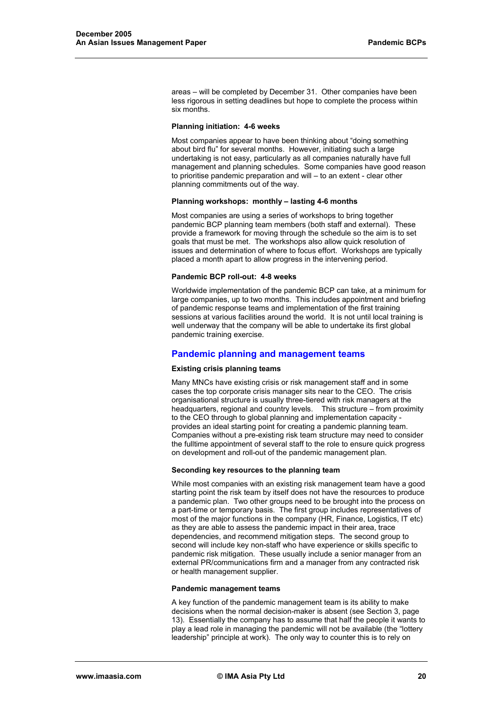areas – will be completed by December 31. Other companies have been less rigorous in setting deadlines but hope to complete the process within six months.

#### **Planning initiation: 4-6 weeks**

Most companies appear to have been thinking about "doing something about bird flu" for several months. However, initiating such a large undertaking is not easy, particularly as all companies naturally have full management and planning schedules. Some companies have good reason to prioritise pandemic preparation and will – to an extent - clear other planning commitments out of the way.

#### **Planning workshops: monthly – lasting 4-6 months**

Most companies are using a series of workshops to bring together pandemic BCP planning team members (both staff and external). These provide a framework for moving through the schedule so the aim is to set goals that must be met. The workshops also allow quick resolution of issues and determination of where to focus effort. Workshops are typically placed a month apart to allow progress in the intervening period.

#### **Pandemic BCP roll-out: 4-8 weeks**

Worldwide implementation of the pandemic BCP can take, at a minimum for large companies, up to two months. This includes appointment and briefing of pandemic response teams and implementation of the first training sessions at various facilities around the world. It is not until local training is well underway that the company will be able to undertake its first global pandemic training exercise.

#### **Pandemic planning and management teams**

#### **Existing crisis planning teams**

Many MNCs have existing crisis or risk management staff and in some cases the top corporate crisis manager sits near to the CEO. The crisis organisational structure is usually three-tiered with risk managers at the headquarters, regional and country levels. This structure – from proximity to the CEO through to global planning and implementation capacity provides an ideal starting point for creating a pandemic planning team. Companies without a pre-existing risk team structure may need to consider the fulltime appointment of several staff to the role to ensure quick progress on development and roll-out of the pandemic management plan.

#### **Seconding key resources to the planning team**

While most companies with an existing risk management team have a good starting point the risk team by itself does not have the resources to produce a pandemic plan. Two other groups need to be brought into the process on a part-time or temporary basis. The first group includes representatives of most of the major functions in the company (HR, Finance, Logistics, IT etc) as they are able to assess the pandemic impact in their area, trace dependencies, and recommend mitigation steps. The second group to second will include key non-staff who have experience or skills specific to pandemic risk mitigation. These usually include a senior manager from an external PR/communications firm and a manager from any contracted risk or health management supplier.

#### **Pandemic management teams**

A key function of the pandemic management team is its ability to make decisions when the normal decision-maker is absent (see Section 3, page 13). Essentially the company has to assume that half the people it wants to play a lead role in managing the pandemic will not be available (the "lottery leadership" principle at work). The only way to counter this is to rely on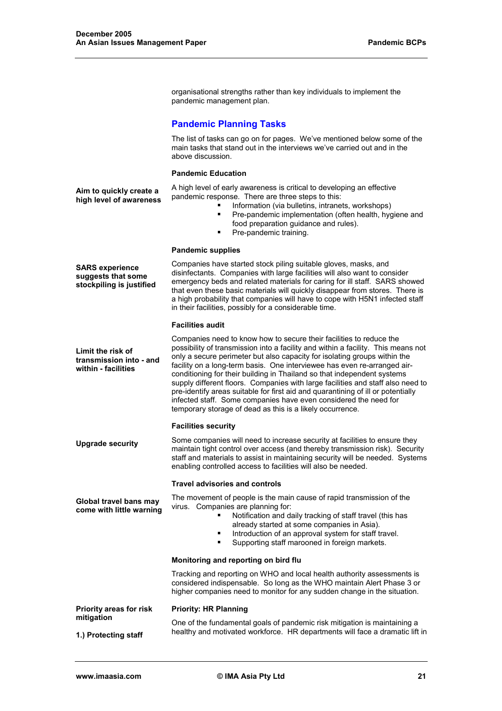organisational strengths rather than key individuals to implement the pandemic management plan.

## **Pandemic Planning Tasks**

 The list of tasks can go on for pages. We've mentioned below some of the main tasks that stand out in the interviews we've carried out and in the above discussion.

#### **Pandemic Education**

**Aim to quickly create a high level of awareness** 

- A high level of early awareness is critical to developing an effective pandemic response. There are three steps to this:
	- **Information (via bulletins, intranets, workshops)**
	- **Pre-pandemic implementation (often health, hygiene and** food preparation guidance and rules).
	- Pre-pandemic training.

#### **Pandemic supplies**

**SARS experience suggests that some stockpiling is justified** 

Companies have started stock piling suitable gloves, masks, and disinfectants. Companies with large facilities will also want to consider emergency beds and related materials for caring for ill staff. SARS showed that even these basic materials will quickly disappear from stores. There is a high probability that companies will have to cope with H5N1 infected staff in their facilities, possibly for a considerable time.

#### **Facilities audit**

**Limit the risk of transmission into - and within - facilities**  Companies need to know how to secure their facilities to reduce the possibility of transmission into a facility and within a facility. This means not only a secure perimeter but also capacity for isolating groups within the facility on a long-term basis. One interviewee has even re-arranged airconditioning for their building in Thailand so that independent systems supply different floors. Companies with large facilities and staff also need to pre-identify areas suitable for first aid and quarantining of ill or potentially infected staff. Some companies have even considered the need for temporary storage of dead as this is a likely occurrence.

#### **Facilities security**

**Upgrade security**  Some companies will need to increase security at facilities to ensure they maintain tight control over access (and thereby transmission risk). Security staff and materials to assist in maintaining security will be needed. Systems enabling controlled access to facilities will also be needed.

#### **Travel advisories and controls**

**come with little warning**  The movement of people is the main cause of rapid transmission of the virus. Companies are planning for:

- Notification and daily tracking of staff travel (this has already started at some companies in Asia).
	- Introduction of an approval system for staff travel.
	- Supporting staff marooned in foreign markets.

#### **Monitoring and reporting on bird flu**

**Priority: HR Planning** 

Tracking and reporting on WHO and local health authority assessments is considered indispensable. So long as the WHO maintain Alert Phase 3 or higher companies need to monitor for any sudden change in the situation.

**Priority areas for risk mitigation** 

One of the fundamental goals of pandemic risk mitigation is maintaining a healthy and motivated workforce. HR departments will face a dramatic lift in

**Global travel bans may** 

**1.) Protecting staff**